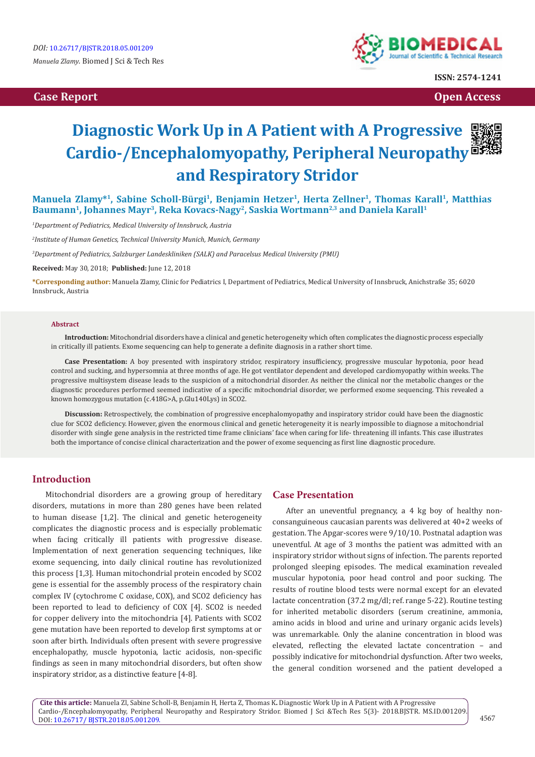

**ISSN: 2574-1241**

**Case Report Case Report Case Access**  $\alpha$  **Case Report** Case **Open Access Open Access** 

## **Diagnostic Work Up in A Patient with A Progressive Cardio-/Encephalomyopathy, Peripheral Neuropathy and Respiratory Stridor**

Manuela Zlamy<sup>\*1</sup>, Sabine Scholl-Bürgi<sup>1</sup>, Benjamin Hetzer<sup>1</sup>, Herta Zellner<sup>1</sup>, Thomas Karall<sup>1</sup>, Matthias Baumann<sup>1</sup>, Johannes Mayr<sup>3</sup>, Reka Kovacs-Nagy<sup>2</sup>, Saskia Wortmann<sup>2,3</sup> and Daniela Karall<sup>1</sup>

*1 Department of Pediatrics, Medical University of Innsbruck, Austria* 

*2 Institute of Human Genetics, Technical University Munich, Munich, Germany*

*3 Department of Pediatrics, Salzburger Landeskliniken (SALK) and Paracelsus Medical University (PMU)*

**Received:** May 30, 2018; **Published:** June 12, 2018

**\*Corresponding author:** Manuela Zlamy, Clinic for Pediatrics I, Department of Pediatrics, Medical University of Innsbruck, Anichstraße 35; 6020 Innsbruck, Austria

#### **Abstract**

**Introduction:** Mitochondrial disorders have a clinical and genetic heterogeneity which often complicates the diagnostic process especially in critically ill patients. Exome sequencing can help to generate a definite diagnosis in a rather short time.

**Case Presentation:** A boy presented with inspiratory stridor, respiratory insufficiency, progressive muscular hypotonia, poor head control and sucking, and hypersomnia at three months of age. He got ventilator dependent and developed cardiomyopathy within weeks. The progressive multisystem disease leads to the suspicion of a mitochondrial disorder. As neither the clinical nor the metabolic changes or the diagnostic procedures performed seemed indicative of a specific mitochondrial disorder, we performed exome sequencing. This revealed a known homozygous mutation (c.418G>A, p.Glu140Lys) in SCO2.

**Discussion:** Retrospectively, the combination of progressive encephalomyopathy and inspiratory stridor could have been the diagnostic clue for SCO2 deficiency. However, given the enormous clinical and genetic heterogeneity it is nearly impossible to diagnose a mitochondrial disorder with single gene analysis in the restricted time frame clinicians' face when caring for life- threatening ill infants. This case illustrates both the importance of concise clinical characterization and the power of exome sequencing as first line diagnostic procedure.

### **Introduction**

Mitochondrial disorders are a growing group of hereditary disorders, mutations in more than 280 genes have been related to human disease [1,2]. The clinical and genetic heterogeneity complicates the diagnostic process and is especially problematic when facing critically ill patients with progressive disease. Implementation of next generation sequencing techniques, like exome sequencing, into daily clinical routine has revolutionized this process [1,3]. Human mitochondrial protein encoded by SCO2 gene is essential for the assembly process of the respiratory chain complex IV (cytochrome C oxidase, COX), and SCO2 deficiency has been reported to lead to deficiency of COX [4]. SCO2 is needed for copper delivery into the mitochondria [4]. Patients with SCO2 gene mutation have been reported to develop first symptoms at or soon after birth. Individuals often present with severe progressive encephalopathy, muscle hypotonia, lactic acidosis, non-specific findings as seen in many mitochondrial disorders, but often show inspiratory stridor, as a distinctive feature [4-8].

#### **Case Presentation**

After an uneventful pregnancy, a 4 kg boy of healthy nonconsanguineous caucasian parents was delivered at 40+2 weeks of gestation. The Apgar-scores were 9/10/10. Postnatal adaption was uneventful. At age of 3 months the patient was admitted with an inspiratory stridor without signs of infection. The parents reported prolonged sleeping episodes. The medical examination revealed muscular hypotonia, poor head control and poor sucking. The results of routine blood tests were normal except for an elevated lactate concentration (37.2 mg/dl; ref. range 5-22). Routine testing for inherited metabolic disorders (serum creatinine, ammonia, amino acids in blood and urine and urinary organic acids levels) was unremarkable. Only the alanine concentration in blood was elevated, reflecting the elevated lactate concentration – and possibly indicative for mitochondrial dysfunction. After two weeks, the general condition worsened and the patient developed a

**Cite this article:** Manuela Zl, Sabine Scholl-B, Benjamin H, Herta Z, Thomas K**.** Diagnostic Work Up in A Patient with A Progressive Cardio-/Encephalomyopathy, Peripheral Neuropathy and Respiratory Stridor. Biomed J Sci &Tech Res 5(3)- 2018.BJSTR. MS.ID.001209. DOI: [10.26717/ BJSTR.2018.05.001209](http://dx.doi.org/10.26717/BJSTR.2018.05.001209).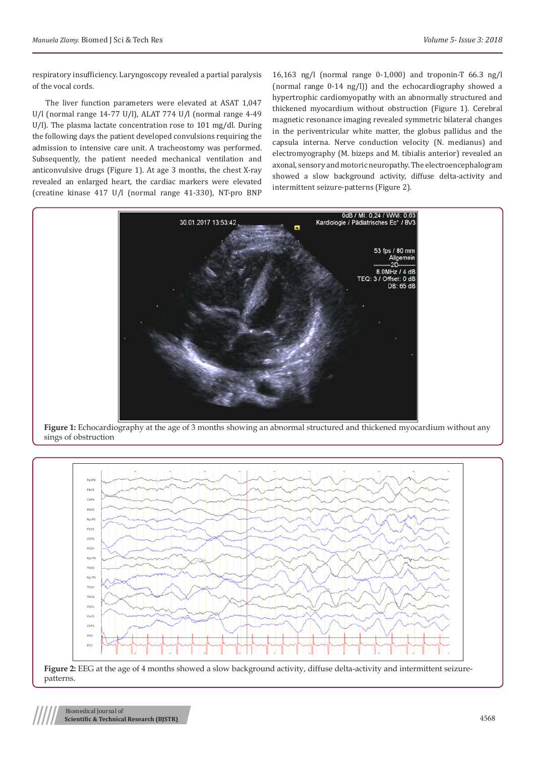respiratory insufficiency. Laryngoscopy revealed a partial paralysis of the vocal cords.

The liver function parameters were elevated at ASAT 1,047 U/l (normal range 14-77 U/l), ALAT 774 U/l (normal range 4-49 U/l). The plasma lactate concentration rose to 101 mg/dl. During the following days the patient developed convulsions requiring the admission to intensive care unit. A tracheostomy was performed. Subsequently, the patient needed mechanical ventilation and anticonvulsive drugs (Figure 1). At age 3 months, the chest X-ray revealed an enlarged heart, the cardiac markers were elevated (creatine kinase 417 U/l (normal range 41-330), NT-pro BNP 16,163 ng/l (normal range 0-1,000) and troponin-T 66.3 ng/l (normal range 0-14 ng/l)) and the echocardiography showed a hypertrophic cardiomyopathy with an abnormally structured and thickened myocardium without obstruction (Figure 1). Cerebral magnetic resonance imaging revealed symmetric bilateral changes in the periventricular white matter, the globus pallidus and the capsula interna. Nerve conduction velocity (N. medianus) and electromyography (M. bizeps and M. tibialis anterior) revealed an axonal, sensory and motoric neuropathy. The electroencephalogram showed a slow background activity, diffuse delta-activity and intermittent seizure-patterns (Figure 2).



**Figure 1:** Echocardiography at the age of 3 months showing an abnormal structured and thickened myocardium without any sings of obstruction

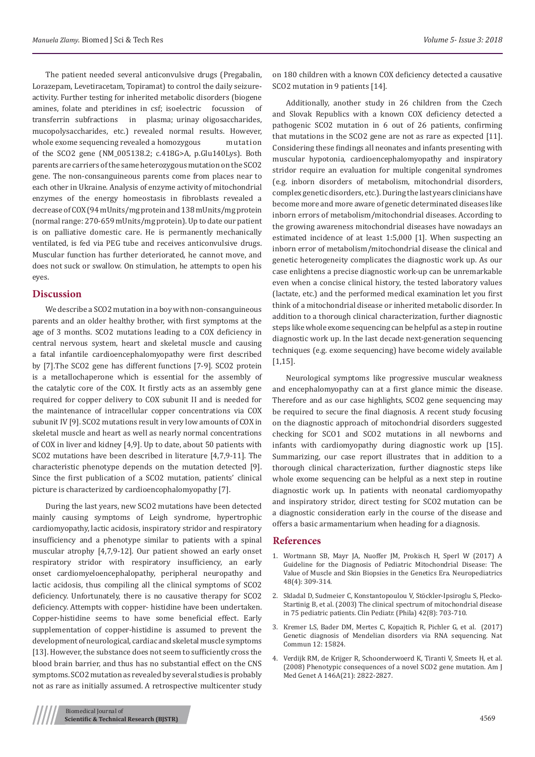The patient needed several anticonvulsive drugs (Pregabalin, Lorazepam, Levetiracetam, Topiramat) to control the daily seizureactivity. Further testing for inherited metabolic disorders (biogene amines, folate and pteridines in csf; isoelectric focussion of transferrin subfractions in plasma; urinay oligosaccharides, mucopolysaccharides, etc.) revealed normal results. However, whole exome sequencing revealed a homozygous mutation of the SCO2 gene (NM\_005138.2; c.418G>A, p.Glu140Lys). Both parents are carriers of the same heterozygous mutation on the SCO2 gene. The non-consanguineous parents come from places near to each other in Ukraine. Analysis of enzyme activity of mitochondrial enzymes of the energy homeostasis in fibroblasts revealed a decrease of COX (94 mUnits/mg protein and 138 mUnits/mg protein (normal range: 270-659 mUnits/mg protein). Up to date our patient is on palliative domestic care. He is permanently mechanically ventilated, is fed via PEG tube and receives anticonvulsive drugs. Muscular function has further deteriorated, he cannot move, and does not suck or swallow. On stimulation, he attempts to open his eyes.

#### **Discussion**

We describe a SCO2 mutation in a boy with non-consanguineous parents and an older healthy brother, with first symptoms at the age of 3 months. SCO2 mutations leading to a COX deficiency in central nervous system, heart and skeletal muscle and causing a fatal infantile cardioencephalomyopathy were first described by [7].The SCO2 gene has different functions [7-9]. SCO2 protein is a metallochaperone which is essential for the assembly of the catalytic core of the COX. It firstly acts as an assembly gene required for copper delivery to COX subunit II and is needed for the maintenance of intracellular copper concentrations via COX subunit IV [9]. SCO2 mutations result in very low amounts of COX in skeletal muscle and heart as well as nearly normal concentrations of COX in liver and kidney [4,9]. Up to date, about 50 patients with SCO2 mutations have been described in literature [4,7,9-11]. The characteristic phenotype depends on the mutation detected [9]. Since the first publication of a SCO2 mutation, patients' clinical picture is characterized by cardioencophalomyopathy [7].

During the last years, new SCO2 mutations have been detected mainly causing symptoms of Leigh syndrome, hypertrophic cardiomyopathy, lactic acidosis, inspiratory stridor and respiratory insufficiency and a phenotype similar to patients with a spinal muscular atrophy [4,7,9-12]. Our patient showed an early onset respiratory stridor with respiratory insufficiency, an early onset cardiomyeloencephalopathy, peripheral neuropathy and lactic acidosis, thus compiling all the clinical symptoms of SCO2 deficiency. Unfortunately, there is no causative therapy for SCO2 deficiency. Attempts with copper- histidine have been undertaken. Copper-histidine seems to have some beneficial effect. Early supplementation of copper-histidine is assumed to prevent the development of neurological, cardiac and skeletal muscle symptoms [13]. However, the substance does not seem to sufficiently cross the blood brain barrier, and thus has no substantial effect on the CNS symptoms. SCO2 mutation as revealed by several studies is probably not as rare as initially assumed. A retrospective multicenter study

on 180 children with a known COX deficiency detected a causative SCO2 mutation in 9 patients [14].

Additionally, another study in 26 children from the Czech and Slovak Republics with a known COX deficiency detected a pathogenic SCO2 mutation in 6 out of 26 patients, confirming that mutations in the SCO2 gene are not as rare as expected [11]. Considering these findings all neonates and infants presenting with muscular hypotonia, cardioencephalomyopathy and inspiratory stridor require an evaluation for multiple congenital syndromes (e.g. inborn disorders of metabolism, mitochondrial disorders, complex genetic disorders, etc.). During the last years clinicians have become more and more aware of genetic determinated diseases like inborn errors of metabolism/mitochondrial diseases. According to the growing awareness mitochondrial diseases have nowadays an estimated incidence of at least 1:5,000 [1]. When suspecting an inborn error of metabolism/mitochondrial disease the clinical and genetic heterogeneity complicates the diagnostic work up. As our case enlightens a precise diagnostic work-up can be unremarkable even when a concise clinical history, the tested laboratory values (lactate, etc.) and the performed medical examination let you first think of a mitochondrial disease or inherited metabolic disorder. In addition to a thorough clinical characterization, further diagnostic steps like whole exome sequencing can be helpful as a step in routine diagnostic work up. In the last decade next-generation sequencing techniques (e.g. exome sequencing) have become widely available [1,15].

Neurological symptoms like progressive muscular weakness and encephalomyopathy can at a first glance mimic the disease. Therefore and as our case highlights, SCO2 gene sequencing may be required to secure the final diagnosis. A recent study focusing on the diagnostic approach of mitochondrial disorders suggested checking for SCO1 and SCO2 mutations in all newborns and infants with cardiomyopathy during diagnostic work up [15]. Summarizing, our case report illustrates that in addition to a thorough clinical characterization, further diagnostic steps like whole exome sequencing can be helpful as a next step in routine diagnostic work up. In patients with neonatal cardiomyopathy and inspiratory stridor, direct testing for SCO2 mutation can be a diagnostic consideration early in the course of the disease and offers a basic armamentarium when heading for a diagnosis.

#### **References**

- 1. [Wortmann SB, Mayr JA, Nuoffer JM, Prokisch H, Sperl W \(2017\) A](https://www.ncbi.nlm.nih.gov/pubmed/28599323) [Guideline for the Diagnosis of Pediatric Mitochondrial Disease: The](https://www.ncbi.nlm.nih.gov/pubmed/28599323) [Value of Muscle and Skin Biopsies in the Genetics Era. Neuropediatrics](https://www.ncbi.nlm.nih.gov/pubmed/28599323) [48\(4\): 309-314](https://www.ncbi.nlm.nih.gov/pubmed/28599323).
- 2. [Skladal D, Sudmeier C, Konstantopoulou V, Stöckler-Ipsiroglu S, Plecko-](https://www.ncbi.nlm.nih.gov/pubmed/14601919)[Startinig B, et al. \(2003\) The clinical spectrum of mitochondrial disease](https://www.ncbi.nlm.nih.gov/pubmed/14601919) [in 75 pediatric patients. Clin Pediatr. \(Phila\)](https://www.ncbi.nlm.nih.gov/pubmed/14601919) 42(8): 703-710.
- 3. [Kremer LS, Bader DM, Mertes C, Kopajtich R, Pichler G, et al. \(2017\)](https://www.nature.com/articles/ncomms15824) [Genetic diagnosis of Mendelian disorders via RNA sequencing. Nat](https://www.nature.com/articles/ncomms15824) [Commun 12: 15824.](https://www.nature.com/articles/ncomms15824)
- 4. [Verdijk RM, de Krijger R, Schoonderwoerd K, Tiranti V, Smeets H, et al.](https://www.ncbi.nlm.nih.gov/pubmed/18924171) [\(2008\) Phenotypic consequences of a novel SCO2 gene mutation. Am J](https://www.ncbi.nlm.nih.gov/pubmed/18924171) [Med Genet A 146A\(21\): 2822-2827.](https://www.ncbi.nlm.nih.gov/pubmed/18924171)